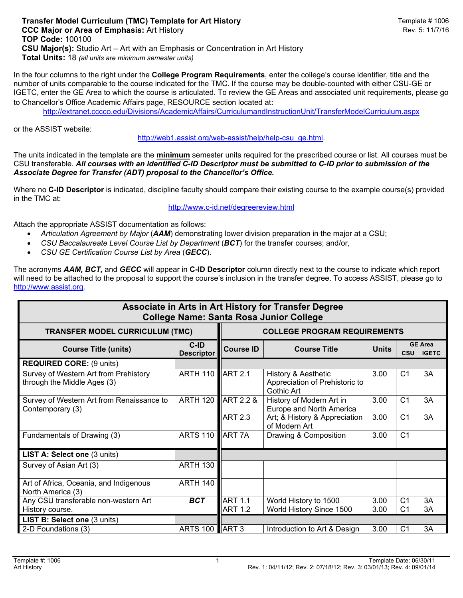In the four columns to the right under the **College Program Requirements**, enter the college's course identifier, title and the number of units comparable to the course indicated for the TMC. If the course may be double-counted with either CSU-GE or IGETC, enter the GE Area to which the course is articulated. To review the GE Areas and associated unit requirements, please go to Chancellor's Office Academic Affairs page, RESOURCE section located at:

http://extranet.cccco.edu/Divisions/AcademicAffairs/CurriculumandInstructionUnit/TransferModelCurriculum.aspx

or the ASSIST website:

http://web1.assist.org/web-assist/help/help-csu\_ge.html.

The units indicated in the template are the **minimum** semester units required for the prescribed course or list. All courses must be CSU transferable. *All courses with an identified C-ID Descriptor must be submitted to C-ID prior to submission of the Associate Degree for Transfer (ADT) proposal to the Chancellor's Office.*

Where no **C-ID Descriptor** is indicated, discipline faculty should compare their existing course to the example course(s) provided in the TMC at:

http://www.c-id.net/degreereview.html

Attach the appropriate ASSIST documentation as follows:

- *Articulation Agreement by Major* (*AAM*) demonstrating lower division preparation in the major at a CSU;
- *CSU Baccalaureate Level Course List by Department* (*BCT*) for the transfer courses; and/or,
- *CSU GE Certification Course List by Area* (*GECC*).

The acronyms *AAM, BCT,* and *GECC* will appear in **C-ID Descriptor** column directly next to the course to indicate which report will need to be attached to the proposal to support the course's inclusion in the transfer degree. To access ASSIST, please go to http://www.assist.org.

| Associate in Arts in Art History for Transfer Degree<br><b>College Name: Santa Rosa Junior College</b> |                             |                                        |                                                                                                        |              |                                              |          |  |
|--------------------------------------------------------------------------------------------------------|-----------------------------|----------------------------------------|--------------------------------------------------------------------------------------------------------|--------------|----------------------------------------------|----------|--|
| <b>TRANSFER MODEL CURRICULUM (TMC)</b>                                                                 |                             | <b>COLLEGE PROGRAM REQUIREMENTS</b>    |                                                                                                        |              |                                              |          |  |
| <b>Course Title (units)</b>                                                                            | $C-ID$<br><b>Descriptor</b> | <b>Course ID</b>                       | <b>Course Title</b>                                                                                    | <b>Units</b> | <b>GE Area</b><br><b>CSU</b><br><b>IGETC</b> |          |  |
| <b>REQUIRED CORE: (9 units)</b>                                                                        |                             |                                        |                                                                                                        |              |                                              |          |  |
| Survey of Western Art from Prehistory<br>through the Middle Ages (3)                                   | <b>ARTH 110</b>             | <b>ART 2.1</b>                         | History & Aesthetic<br>Appreciation of Prehistoric to<br>Gothic Art                                    | 3.00         | C <sub>1</sub>                               | 3A       |  |
| Survey of Western Art from Renaissance to<br>Contemporary (3)                                          | <b>ARTH 120</b>             | <b>ART 2.2 &amp;</b><br><b>ART 2.3</b> | History of Modern Art in<br>Europe and North America<br>Art; & History & Appreciation<br>of Modern Art | 3.00<br>3.00 | C <sub>1</sub><br>C <sub>1</sub>             | 3A<br>3A |  |
| Fundamentals of Drawing (3)                                                                            | <b>ARTS 110</b>             | <b>ART 7A</b>                          | Drawing & Composition                                                                                  | 3.00         | C <sub>1</sub>                               |          |  |
| LIST A: Select one (3 units)                                                                           |                             |                                        |                                                                                                        |              |                                              |          |  |
| Survey of Asian Art (3)                                                                                | <b>ARTH 130</b>             |                                        |                                                                                                        |              |                                              |          |  |
| Art of Africa, Oceania, and Indigenous<br>North America (3)                                            | ARTH 140                    |                                        |                                                                                                        |              |                                              |          |  |
| Any CSU transferable non-western Art                                                                   | <b>BCT</b>                  | <b>ART 1.1</b>                         | World History to 1500                                                                                  | 3.00         | C <sub>1</sub>                               | 3A       |  |
| History course.                                                                                        |                             | <b>ART 1.2</b>                         | World History Since 1500                                                                               | 3.00         | C <sub>1</sub>                               | 3A       |  |
| LIST B: Select one (3 units)                                                                           |                             |                                        |                                                                                                        |              |                                              |          |  |
| 2-D Foundations (3)                                                                                    | <b>ARTS 100 ART 3</b>       |                                        | Introduction to Art & Design                                                                           | 3.00         | C <sub>1</sub>                               | 3A       |  |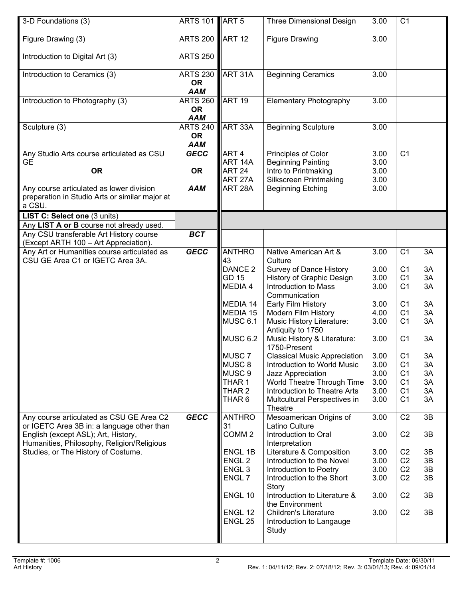| 3-D Foundations (3)                                                                                                             | ARTS 101 ART 5                             |                                        | <b>Three Dimensional Design</b>                                   | 3.00              | C <sub>1</sub>                   |          |
|---------------------------------------------------------------------------------------------------------------------------------|--------------------------------------------|----------------------------------------|-------------------------------------------------------------------|-------------------|----------------------------------|----------|
| Figure Drawing (3)                                                                                                              | <b>ARTS 200</b>                            | <b>ART 12</b>                          | <b>Figure Drawing</b>                                             | $\overline{3.00}$ |                                  |          |
| Introduction to Digital Art (3)                                                                                                 | <b>ARTS 250</b>                            |                                        |                                                                   |                   |                                  |          |
| Introduction to Ceramics (3)                                                                                                    | <b>ARTS 230</b><br><b>OR</b><br><b>AAM</b> | ART 31A                                | <b>Beginning Ceramics</b>                                         | 3.00              |                                  |          |
| Introduction to Photography (3)                                                                                                 | <b>ARTS 260</b><br><b>OR</b><br><b>AAM</b> | <b>ART 19</b>                          | <b>Elementary Photography</b>                                     | 3.00              |                                  |          |
| Sculpture (3)                                                                                                                   | <b>ARTS 240</b><br><b>OR</b><br><b>AAM</b> | ART 33A                                | <b>Beginning Sculpture</b>                                        | 3.00              |                                  |          |
| Any Studio Arts course articulated as CSU                                                                                       | <b>GECC</b>                                | ART <sub>4</sub>                       | Principles of Color                                               | 3.00              | C <sub>1</sub>                   |          |
| <b>GE</b><br><b>OR</b>                                                                                                          | <b>OR</b>                                  | ART 14A<br>ART <sub>24</sub>           | <b>Beginning Painting</b><br>Intro to Printmaking                 | 3.00<br>3.00      |                                  |          |
| Any course articulated as lower division<br>preparation in Studio Arts or similar major at                                      | <b>AAM</b>                                 | ART 27A<br>ART 28A                     | <b>Silkscreen Printmaking</b><br><b>Beginning Etching</b>         | 3.00<br>3.00      |                                  |          |
| a CSU.<br>LIST C: Select one (3 units)                                                                                          |                                            |                                        |                                                                   |                   |                                  |          |
| Any LIST A or B course not already used.                                                                                        |                                            |                                        |                                                                   |                   |                                  |          |
| Any CSU transferable Art History course<br>(Except ARTH 100 - Art Appreciation).                                                | <b>BCT</b>                                 |                                        |                                                                   |                   |                                  |          |
| Any Art or Humanities course articulated as                                                                                     | <b>GECC</b>                                | <b>ANTHRO</b>                          | Native American Art &                                             | 3.00              | C <sub>1</sub>                   | 3A       |
| CSU GE Area C1 or IGETC Area 3A.                                                                                                |                                            | 43<br>DANCE <sub>2</sub>               | Culture<br>Survey of Dance History                                | 3.00              | C <sub>1</sub>                   | 3A       |
|                                                                                                                                 |                                            | <b>GD 15</b>                           | History of Graphic Design                                         | 3.00              | C <sub>1</sub>                   | 3A       |
|                                                                                                                                 |                                            | MEDIA 4                                | Introduction to Mass<br>Communication                             | 3.00              | C <sub>1</sub>                   | 3A       |
|                                                                                                                                 |                                            | MEDIA 14                               | Early Film History                                                | 3.00              | C <sub>1</sub>                   | 3A       |
|                                                                                                                                 |                                            | MEDIA 15                               | <b>Modern Film History</b>                                        | 4.00              | C <sub>1</sub>                   | 3A       |
|                                                                                                                                 |                                            | MUSC 6.1                               | <b>Music History Literature:</b><br>Antiquity to 1750             | 3.00              | C <sub>1</sub>                   | 3A       |
|                                                                                                                                 |                                            | <b>MUSC 6.2</b>                        | Music History & Literature:<br>1750-Present                       | 3.00              | C <sub>1</sub>                   | 3A       |
|                                                                                                                                 |                                            | MUSC <sub>7</sub>                      | <b>Classical Music Appreciation</b>                               | 3.00              | C <sub>1</sub>                   | 3A       |
|                                                                                                                                 |                                            | MUSC <sub>8</sub><br>MUSC <sub>9</sub> | Introduction to World Music<br>Jazz Appreciation                  | 3.00<br>3.00      | C <sub>1</sub><br>C <sub>1</sub> | 3A<br>3A |
|                                                                                                                                 |                                            | THAR 1                                 | World Theatre Through Time                                        | 3.00              | C <sub>1</sub>                   | 3A       |
|                                                                                                                                 |                                            | THAR 2                                 | Introduction to Theatre Arts                                      | 3.00              | C <sub>1</sub>                   | 3A       |
|                                                                                                                                 |                                            | THAR <sub>6</sub>                      | Multcultural Perspectives in<br>Theatre                           | 3.00              | C <sub>1</sub>                   | 3A       |
| Any course articulated as CSU GE Area C2                                                                                        | <b>GECC</b>                                | <b>ANTHRO</b>                          | Mesoamerican Origins of                                           | 3.00              | C <sub>2</sub>                   | 3B       |
| or IGETC Area 3B in: a language other than<br>English (except ASL); Art, History,<br>Humanities, Philosophy, Religion/Religious |                                            | 31<br>COMM <sub>2</sub>                | Latino Culture<br>Introduction to Oral<br>Interpretation          | 3.00              | C <sub>2</sub>                   | 3B       |
| Studies, or The History of Costume.                                                                                             |                                            | ENGL 1B                                | Literature & Composition                                          | 3.00              | C <sub>2</sub>                   | 3B       |
|                                                                                                                                 |                                            | ENGL <sub>2</sub>                      | Introduction to the Novel                                         | 3.00              | C <sub>2</sub>                   | 3B       |
|                                                                                                                                 |                                            | ENGL <sub>3</sub>                      | Introduction to Poetry                                            | 3.00              | C <sub>2</sub>                   | 3B       |
|                                                                                                                                 |                                            | ENGL 7                                 | Introduction to the Short<br>Story                                | 3.00              | C <sub>2</sub>                   | 3B       |
|                                                                                                                                 |                                            | ENGL 10                                | Introduction to Literature &<br>the Environment                   | 3.00              | C <sub>2</sub>                   | 3B       |
|                                                                                                                                 |                                            | ENGL 12<br>ENGL 25                     | <b>Children's Literature</b><br>Introduction to Langauge<br>Study | 3.00              | C <sub>2</sub>                   | 3B       |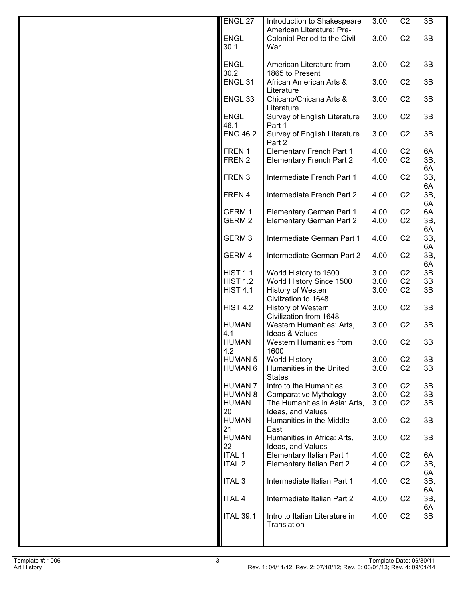| ENGL 27             | Introduction to Shakespeare                                 | 3.00         | C <sub>2</sub>                   | 3B        |
|---------------------|-------------------------------------------------------------|--------------|----------------------------------|-----------|
|                     | American Literature: Pre-                                   |              |                                  |           |
| <b>ENGL</b><br>30.1 | Colonial Period to the Civil<br>War                         | 3.00         | C <sub>2</sub>                   | 3B        |
|                     |                                                             |              |                                  |           |
| <b>ENGL</b>         | American Literature from                                    | 3.00         | C <sub>2</sub>                   | 3B        |
| 30.2                | 1865 to Present                                             |              |                                  |           |
| ENGL <sub>31</sub>  | African American Arts &                                     | 3.00         | C <sub>2</sub>                   | 3B        |
|                     | Literature                                                  |              |                                  |           |
| ENGL <sub>33</sub>  | Chicano/Chicana Arts &<br>Literature                        | 3.00         | C <sub>2</sub>                   | 3B        |
| <b>ENGL</b>         | Survey of English Literature                                | 3.00         | C <sub>2</sub>                   | 3B        |
| 46.1                | Part 1                                                      |              |                                  |           |
| <b>ENG 46.2</b>     | Survey of English Literature                                | 3.00         | C <sub>2</sub>                   | 3B        |
|                     | Part 2                                                      |              |                                  |           |
| FREN 1<br>FREN 2    | Elementary French Part 1<br><b>Elementary French Part 2</b> | 4.00<br>4.00 | C <sub>2</sub><br>C <sub>2</sub> | 6A<br>3B, |
|                     |                                                             |              |                                  | 6A        |
| FREN <sub>3</sub>   | Intermediate French Part 1                                  | 4.00         | C <sub>2</sub>                   | 3B,       |
|                     |                                                             |              |                                  | 6A        |
| FREN 4              | Intermediate French Part 2                                  | 4.00         | C <sub>2</sub>                   | 3B,       |
| GERM 1              | Elementary German Part 1                                    | 4.00         | C <sub>2</sub>                   | 6A<br>6A  |
| GERM <sub>2</sub>   | Elementary German Part 2                                    | 4.00         | C <sub>2</sub>                   | 3B,       |
|                     |                                                             |              |                                  | 6A        |
| GERM <sub>3</sub>   | Intermediate German Part 1                                  | 4.00         | C <sub>2</sub>                   | 3B,       |
|                     |                                                             |              |                                  | 6A        |
| GERM 4              | Intermediate German Part 2                                  | 4.00         | C <sub>2</sub>                   | 3B,       |
| <b>HIST 1.1</b>     | World History to 1500                                       | 3.00         | C <sub>2</sub>                   | 6A<br>3B  |
| <b>HIST 1.2</b>     | World History Since 1500                                    | 3.00         | C <sub>2</sub>                   | 3B        |
| <b>HIST 4.1</b>     | History of Western                                          | 3.00         | C <sub>2</sub>                   | 3B        |
|                     | Civilzation to 1648                                         |              |                                  |           |
| <b>HIST 4.2</b>     | <b>History of Western</b>                                   | 3.00         | C <sub>2</sub>                   | 3B        |
| <b>HUMAN</b>        | Civilization from 1648<br>Western Humanities: Arts,         | 3.00         | C <sub>2</sub>                   | 3B        |
| 4.1                 | Ideas & Values                                              |              |                                  |           |
| <b>HUMAN</b>        | Western Humanities from                                     | 3.00         | C <sub>2</sub>                   | 3B        |
| 4.2                 | 1600                                                        |              |                                  |           |
| <b>HUMAN 5</b>      | <b>World History</b>                                        | 3.00         | C <sub>2</sub>                   | 3B        |
| <b>HUMAN 6</b>      | Humanities in the United                                    | 3.00         | C <sub>2</sub>                   | 3B        |
| <b>HUMAN 7</b>      | <b>States</b><br>Intro to the Humanities                    | 3.00         | C <sub>2</sub>                   |           |
| <b>HUMAN 8</b>      | <b>Comparative Mythology</b>                                | 3.00         | C <sub>2</sub>                   | 3B<br>3B  |
| <b>HUMAN</b>        | The Humanities in Asia: Arts,                               | 3.00         | C <sub>2</sub>                   | 3B        |
| 20                  | Ideas, and Values                                           |              |                                  |           |
| <b>HUMAN</b>        | Humanities in the Middle                                    | 3.00         | C <sub>2</sub>                   | 3B        |
| 21                  | East                                                        |              |                                  |           |
| <b>HUMAN</b>        | Humanities in Africa: Arts,                                 | 3.00         | C <sub>2</sub>                   | 3B        |
| 22<br><b>ITAL 1</b> | Ideas, and Values<br>Elementary Italian Part 1              | 4.00         | C <sub>2</sub>                   | 6A        |
| <b>ITAL 2</b>       | Elementary Italian Part 2                                   | 4.00         | C <sub>2</sub>                   | 3B,       |
|                     |                                                             |              |                                  | 6A        |
| <b>ITAL 3</b>       | Intermediate Italian Part 1                                 | 4.00         | C <sub>2</sub>                   | 3B,       |
|                     |                                                             |              |                                  | 6A        |
| <b>ITAL 4</b>       | Intermediate Italian Part 2                                 | 4.00         | C <sub>2</sub>                   | 3B,       |
| <b>ITAL 39.1</b>    | Intro to Italian Literature in                              | 4.00         | C <sub>2</sub>                   | 6A<br>3B  |
|                     | Translation                                                 |              |                                  |           |
|                     |                                                             |              |                                  |           |
|                     |                                                             |              |                                  |           |
|                     |                                                             |              |                                  |           |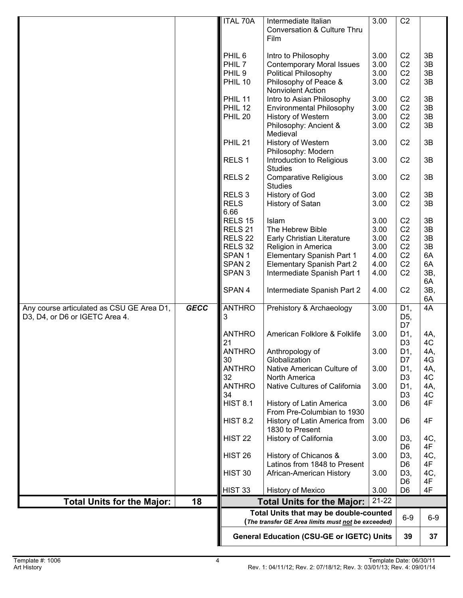|                                                                             |             | Total Units that may be double-counted<br>(The transfer GE Area limits must not be exceeded) |                                                                                        | $6-9$                | $6-9$                                              |                      |
|-----------------------------------------------------------------------------|-------------|----------------------------------------------------------------------------------------------|----------------------------------------------------------------------------------------|----------------------|----------------------------------------------------|----------------------|
| <b>Total Units for the Major:</b>                                           | 18          |                                                                                              | <b>Total Units for the Major:</b>                                                      | $21 - 22$            |                                                    |                      |
|                                                                             |             | HIST 33                                                                                      | History of Mexico                                                                      | 3.00                 | D <sub>6</sub><br>D <sub>6</sub>                   | 4F<br>4F             |
|                                                                             |             | HIST 30                                                                                      | History of Chicanos &<br>Latinos from 1848 to Present<br>African-American History      | 3.00<br>3.00         | D <sub>3</sub><br>D <sub>6</sub><br>D3,            | 4C,<br>4F<br>4C,     |
|                                                                             |             | <b>HIST 22</b><br>HIST <sub>26</sub>                                                         | History of California                                                                  | 3.00                 | D <sub>3</sub><br>D <sub>6</sub>                   | 4C,<br>4F            |
|                                                                             |             | <b>HIST 8.2</b>                                                                              | History of Latin America from<br>1830 to Present                                       | 3.00                 | D <sub>6</sub>                                     | 4F                   |
|                                                                             |             | <b>HIST 8.1</b>                                                                              | History of Latin America<br>From Pre-Columbian to 1930                                 | 3.00                 | D <sub>6</sub>                                     | 4F                   |
|                                                                             |             | <b>ANTHRO</b><br>34                                                                          | Native Cultures of California                                                          | 3.00                 | D1,<br>D <sub>3</sub>                              | 4A,<br>4C            |
|                                                                             |             | <b>ANTHRO</b><br>32                                                                          | Native American Culture of<br>North America                                            | 3.00                 | D1,<br>D <sub>3</sub>                              | 4A,<br>4C            |
|                                                                             |             | <b>ANTHRO</b><br>30                                                                          | Anthropology of<br>Globalization                                                       | 3.00                 | D <sub>1</sub><br>D7                               | 4A,<br>4G            |
|                                                                             |             | <b>ANTHRO</b><br>21                                                                          | American Folklore & Folklife                                                           | 3.00                 | D1,<br>D <sub>3</sub>                              | 4A,<br>4C            |
| Any course articulated as CSU GE Area D1,<br>D3, D4, or D6 or IGETC Area 4. | <b>GECC</b> | <b>ANTHRO</b><br>3                                                                           | Prehistory & Archaeology                                                               | 3.00                 | D1,<br>D <sub>5</sub> ,<br>D7                      | 4A                   |
|                                                                             |             | SPAN 4                                                                                       | Intermediate Spanish Part 2                                                            | 4.00                 | C <sub>2</sub>                                     | 3B,<br>6A            |
|                                                                             |             | SPAN <sub>3</sub>                                                                            | Intermediate Spanish Part 1                                                            | 4.00                 | C <sub>2</sub>                                     | 3B,<br>6A            |
|                                                                             |             | SPAN <sub>1</sub><br>SPAN <sub>2</sub>                                                       | Elementary Spanish Part 1<br>Elementary Spanish Part 2                                 | 4.00<br>4.00         | C <sub>2</sub><br>C <sub>2</sub>                   | 3B<br>3B<br>6A<br>6A |
|                                                                             |             | RELS <sub>32</sub>                                                                           | Religion in America                                                                    | 3.00                 | C <sub>2</sub>                                     |                      |
|                                                                             |             | RELS <sub>21</sub><br>RELS <sub>22</sub>                                                     | The Hebrew Bible<br>Early Christian Literature                                         | 3.00<br>3.00         | C <sub>2</sub><br>C <sub>2</sub>                   | 3B                   |
|                                                                             |             | RELS <sub>15</sub>                                                                           | Islam                                                                                  | 3.00                 | C <sub>2</sub>                                     | 3B                   |
|                                                                             |             | RELS <sub>3</sub><br><b>RELS</b><br>6.66                                                     | History of God<br>History of Satan                                                     | 3.00<br>3.00         | C <sub>2</sub><br>C <sub>2</sub>                   | 3B<br>3B             |
|                                                                             |             | RELS <sub>2</sub>                                                                            | <b>Comparative Religious</b><br><b>Studies</b>                                         | 3.00                 | C <sub>2</sub>                                     | 3B                   |
|                                                                             |             | RELS <sub>1</sub>                                                                            | Introduction to Religious<br><b>Studies</b>                                            | 3.00                 | C <sub>2</sub>                                     | 3B                   |
|                                                                             |             | <b>PHIL 21</b>                                                                               | History of Western<br>Philosophy: Modern                                               | 3.00                 | C <sub>2</sub>                                     | 3B                   |
|                                                                             |             | <b>PHIL 20</b>                                                                               | History of Western<br>Philosophy: Ancient &<br>Medieval                                | 3.00<br>3.00         | C <sub>2</sub><br>C <sub>2</sub>                   | 3B<br>3B             |
|                                                                             |             | PHIL 11<br>PHIL 12                                                                           | Intro to Asian Philosophy<br><b>Environmental Philosophy</b>                           | 3.00<br>3.00         | C <sub>2</sub><br>C <sub>2</sub>                   | 3B<br>3B             |
|                                                                             |             | <b>PHIL 10</b>                                                                               | Philosophy of Peace &<br>Nonviolent Action                                             | 3.00                 | C <sub>2</sub>                                     | 3B                   |
|                                                                             |             | PHIL <sub>6</sub><br>PHIL <sub>7</sub><br>PHIL <sub>9</sub>                                  | Intro to Philosophy<br><b>Contemporary Moral Issues</b><br><b>Political Philosophy</b> | 3.00<br>3.00<br>3.00 | C <sub>2</sub><br>C <sub>2</sub><br>C <sub>2</sub> | 3B<br>3B<br>3B       |
|                                                                             |             |                                                                                              | Conversation & Culture Thru<br>Film                                                    |                      |                                                    |                      |
|                                                                             |             | <b>ITAL 70A</b>                                                                              | Intermediate Italian                                                                   | 3.00                 | C <sub>2</sub>                                     |                      |